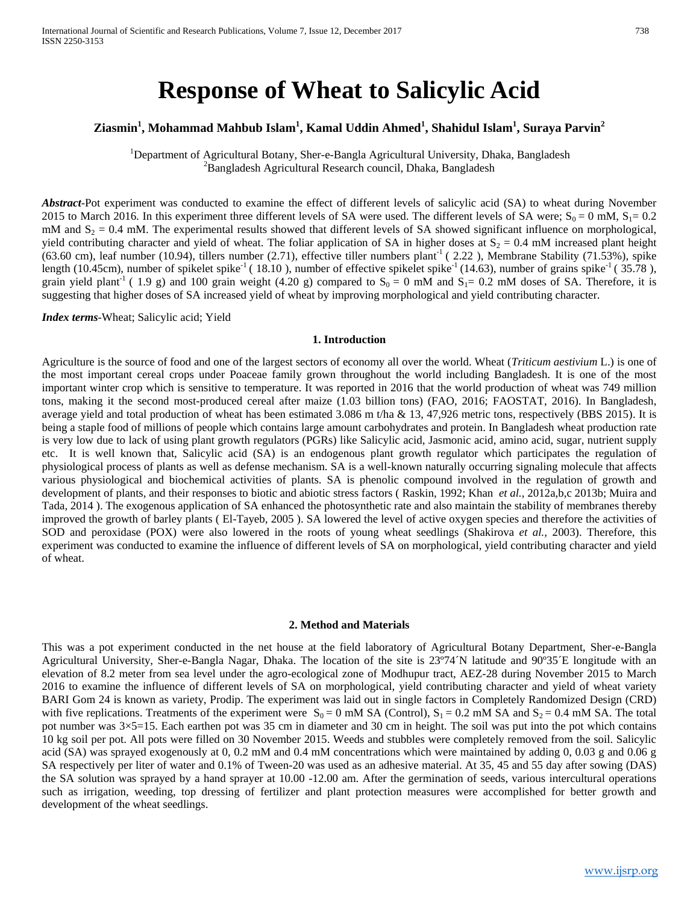# **Response of Wheat to Salicylic Acid**

# **Ziasmin<sup>1</sup> , Mohammad Mahbub Islam1 , Kamal Uddin Ahmed<sup>1</sup> , Shahidul Islam1 , Suraya Parvin<sup>2</sup>**

<sup>1</sup>Department of Agricultural Botany, Sher-e-Bangla Agricultural University, Dhaka, Bangladesh  $\frac{2 \text{P} \cdot \text{P} \cdot \text{P} \cdot \text{P} \cdot \text{P} \cdot \text{P} \cdot \text{P} \cdot \text{P} \cdot \text{P} \cdot \text{P} \cdot \text{P} \cdot \text{P} \cdot \text{P} \cdot \text{P} \cdot \text{P} \cdot \text{P} \cdot \text{P} \cdot \text$ <sup>2</sup>Bangladesh Agricultural Research council, Dhaka, Bangladesh

*Abstract*-Pot experiment was conducted to examine the effect of different levels of salicylic acid (SA) to wheat during November 2015 to March 2016. In this experiment three different levels of SA were used. The different levels of SA were;  $S_0 = 0$  mM,  $S_1 = 0.2$ mM and  $S_2 = 0.4$  mM. The experimental results showed that different levels of SA showed significant influence on morphological, yield contributing character and yield of wheat. The foliar application of SA in higher doses at  $S_2 = 0.4$  mM increased plant height (63.60 cm), leaf number (10.94), tillers number (2.71), effective tiller numbers plant<sup>-1</sup> (2.22), Membrane Stability (71.53%), spike length (10.45cm), number of spikelet spike<sup>-1</sup> (18.10), number of effective spikelet spike<sup>-1</sup> (14.63), number of grains spike<sup>-1</sup> (35.78), grain yield plant<sup>-1</sup> ( 1.9 g) and 100 grain weight (4.20 g) compared to  $S_0 = 0$  mM and  $S_1 = 0.2$  mM doses of SA. Therefore, it is suggesting that higher doses of SA increased yield of wheat by improving morphological and yield contributing character.

*Index terms*-Wheat; Salicylic acid; Yield

#### **1. Introduction**

Agriculture is the source of food and one of the largest sectors of economy all over the world. Wheat (*Triticum aestivium* L.) is one of the most important cereal crops under Poaceae family grown throughout the world including Bangladesh. It is one of the most important winter crop which is sensitive to temperature. It was reported in 2016 that the world production of wheat was 749 million tons, making it the second most-produced cereal after maize (1.03 billion tons) (FAO, 2016; FAOSTAT, 2016). In Bangladesh, average yield and total production of wheat has been estimated 3.086 m t/ha & 13, 47,926 metric tons, respectively (BBS 2015). It is being a staple food of millions of people which contains large amount carbohydrates and protein. In Bangladesh wheat production rate is very low due to lack of using plant growth regulators (PGRs) like Salicylic acid, Jasmonic acid, amino acid, sugar, nutrient supply etc. It is well known that, Salicylic acid (SA) is an endogenous plant growth regulator which participates the regulation of physiological process of plants as well as defense mechanism. SA is a well-known naturally occurring signaling molecule that affects various physiological and biochemical activities of plants. SA is phenolic compound involved in the regulation of growth and development of plants, and their responses to biotic and abiotic stress factors (Raskin, 1992; Khan *et al.*, 2012a,b,c 2013b; Muira and Tada, 2014 ). The exogenous application of SA enhanced the photosynthetic rate and also maintain the stability of membranes thereby improved the growth of barley plants ( El-Tayeb, 2005 ). SA lowered the level of active oxygen species and therefore the activities of SOD and peroxidase (POX) were also lowered in the roots of young wheat seedlings (Shakirova *et al.,* 2003). Therefore, this experiment was conducted to examine the influence of different levels of SA on morphological, yield contributing character and yield of wheat.

#### **2. Method and Materials**

This was a pot experiment conducted in the net house at the field laboratory of Agricultural Botany Department, Sher-e-Bangla Agricultural University, Sher-e-Bangla Nagar, Dhaka. The location of the site is 23º74´N latitude and 90º35´E longitude with an elevation of 8.2 meter from sea level under the agro-ecological zone of Modhupur tract, AEZ-28 during November 2015 to March 2016 to examine the influence of different levels of SA on morphological, yield contributing character and yield of wheat variety BARI Gom 24 is known as variety, Prodip. The experiment was laid out in single factors in Completely Randomized Design (CRD) with five replications. Treatments of the experiment were  $S_0 = 0$  mM SA (Control),  $S_1 = 0.2$  mM SA and  $S_2 = 0.4$  mM SA. The total pot number was 3×5=15. Each earthen pot was 35 cm in diameter and 30 cm in height. The soil was put into the pot which contains 10 kg soil per pot. All pots were filled on 30 November 2015. Weeds and stubbles were completely removed from the soil. Salicylic acid (SA) was sprayed exogenously at 0, 0.2 mM and 0.4 mM concentrations which were maintained by adding 0, 0.03 g and 0.06 g SA respectively per liter of water and 0.1% of Tween-20 was used as an adhesive material. At 35, 45 and 55 day after sowing (DAS) the SA solution was sprayed by a hand sprayer at 10.00 -12.00 am. After the germination of seeds, various intercultural operations such as irrigation, weeding, top dressing of fertilizer and plant protection measures were accomplished for better growth and development of the wheat seedlings.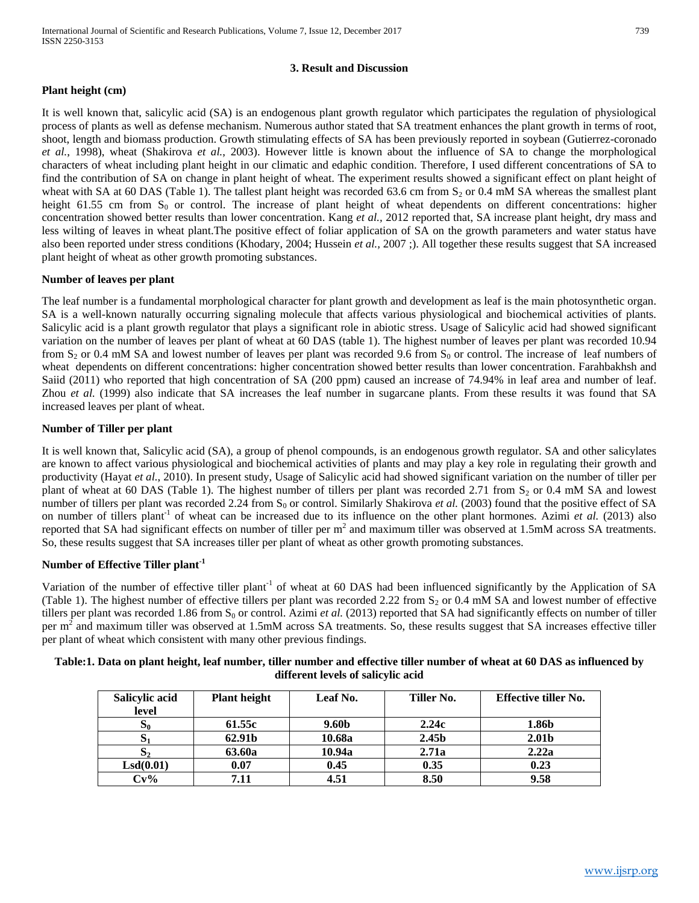## **3. Result and Discussion**

## **Plant height (cm)**

It is well known that, salicylic acid (SA) is an endogenous plant growth regulator which participates the regulation of physiological process of plants as well as defense mechanism. Numerous author stated that SA treatment enhances the plant growth in terms of root, shoot, length and biomass production. Growth stimulating effects of SA has been previously reported in soybean (Gutierrez-coronado *et al.*, 1998), wheat (Shakirova *et al.*, 2003). However little is known about the influence of SA to change the morphological characters of wheat including plant height in our climatic and edaphic condition. Therefore, I used different concentrations of SA to find the contribution of SA on change in plant height of wheat. The experiment results showed a significant effect on plant height of wheat with SA at 60 DAS (Table 1). The tallest plant height was recorded 63.6 cm from  $S_2$  or 0.4 mM SA whereas the smallest plant height 61.55 cm from  $S_0$  or control. The increase of plant height of wheat dependents on different concentrations: higher concentration showed better results than lower concentration. Kang *et al.,* 2012 reported that, SA increase plant height, dry mass and less wilting of leaves in wheat plant.The positive effect of foliar application of SA on the growth parameters and water status have also been reported under stress conditions (Khodary, 2004; Hussein *et al.,* 2007 ;). All together these results suggest that SA increased plant height of wheat as other growth promoting substances.

## **Number of leaves per plant**

The leaf number is a fundamental morphological character for plant growth and development as leaf is the main photosynthetic organ. SA is a well-known naturally occurring signaling molecule that affects various physiological and biochemical activities of plants. Salicylic acid is a plant growth regulator that plays a significant role in abiotic stress. Usage of Salicylic acid had showed significant variation on the number of leaves per plant of wheat at 60 DAS (table 1). The highest number of leaves per plant was recorded 10.94 from  $S_2$  or 0.4 mM SA and lowest number of leaves per plant was recorded 9.6 from  $S_0$  or control. The increase of leaf numbers of wheat dependents on different concentrations: higher concentration showed better results than lower concentration. Farahbakhsh and Saiid (2011) who reported that high concentration of SA (200 ppm) caused an increase of 74.94% in leaf area and number of leaf. Zhou *et al.* (1999) also indicate that SA increases the leaf number in sugarcane plants. From these results it was found that SA increased leaves per plant of wheat.

## **Number of Tiller per plant**

It is well known that, Salicylic acid (SA), a group of phenol compounds, is an endogenous growth regulator. SA and other salicylates are known to affect various physiological and biochemical activities of plants and may play a key role in regulating their growth and productivity (Hayat *et al.*, 2010). In present study, Usage of Salicylic acid had showed significant variation on the number of tiller per plant of wheat at 60 DAS (Table 1). The highest number of tillers per plant was recorded 2.71 from  $S_2$  or 0.4 mM SA and lowest number of tillers per plant was recorded 2.24 from  $S_0$  or control. Similarly Shakirova *et al.* (2003) found that the positive effect of SA on number of tillers plant<sup>-1</sup> of wheat can be increased due to its influence on the other plant hormones. Azimi *et al.* (2013) also reported that SA had significant effects on number of tiller per  $m<sup>2</sup>$  and maximum tiller was observed at 1.5mM across SA treatments. So, these results suggest that SA increases tiller per plant of wheat as other growth promoting substances.

# **Number of Effective Tiller plant-1**

Variation of the number of effective tiller plant<sup>-1</sup> of wheat at 60 DAS had been influenced significantly by the Application of SA (Table 1). The highest number of effective tillers per plant was recorded 2.22 from  $S_2$  or 0.4 mM SA and lowest number of effective tillers per plant was recorded 1.86 from  $S_0$  or control. Azimi *et al.* (2013) reported that SA had significantly effects on number of tiller per  $m<sup>2</sup>$  and maximum tiller was observed at 1.5mM across SA treatments. So, these results suggest that SA increases effective tiller per plant of wheat which consistent with many other previous findings.

| Table:1. Data on plant height, leaf number, tiller number and effective tiller number of wheat at 60 DAS as influenced by |                    |                                                             |  |                                           |                     |  |  |  |  |
|---------------------------------------------------------------------------------------------------------------------------|--------------------|-------------------------------------------------------------|--|-------------------------------------------|---------------------|--|--|--|--|
| different levels of salicylic acid                                                                                        |                    |                                                             |  |                                           |                     |  |  |  |  |
|                                                                                                                           | $C = 12 - 12 - 12$ | $\mathbf{D}$ $\mathbf{L}$ and $\mathbf{L}$ and $\mathbf{L}$ |  | $T^{\prime\prime}$ ii $\ldots$ N $\ldots$ | $TSP_{1} = 121211N$ |  |  |  |  |

| <b>Salicylic acid</b><br>level | <b>Plant height</b> | Leaf No. | Tiller No. | <b>Effective tiller No.</b> |
|--------------------------------|---------------------|----------|------------|-----------------------------|
| ാ                              | 61.55c              | 9.60b    | 2.24c      | 1.86b                       |
|                                | 62.91b              | 10.68a   | 2.45b      | 2.01b                       |
| $\mathbf{v}_2$                 | 63.60a              | 10.94a   | 2.71a      | 2.22a                       |
| LSd(0.01)                      | 0.07                | 0.45     | 0.35       | 0.23                        |
| $Cv\%$                         | 7.11                | 4.51     | 8.50       | 9.58                        |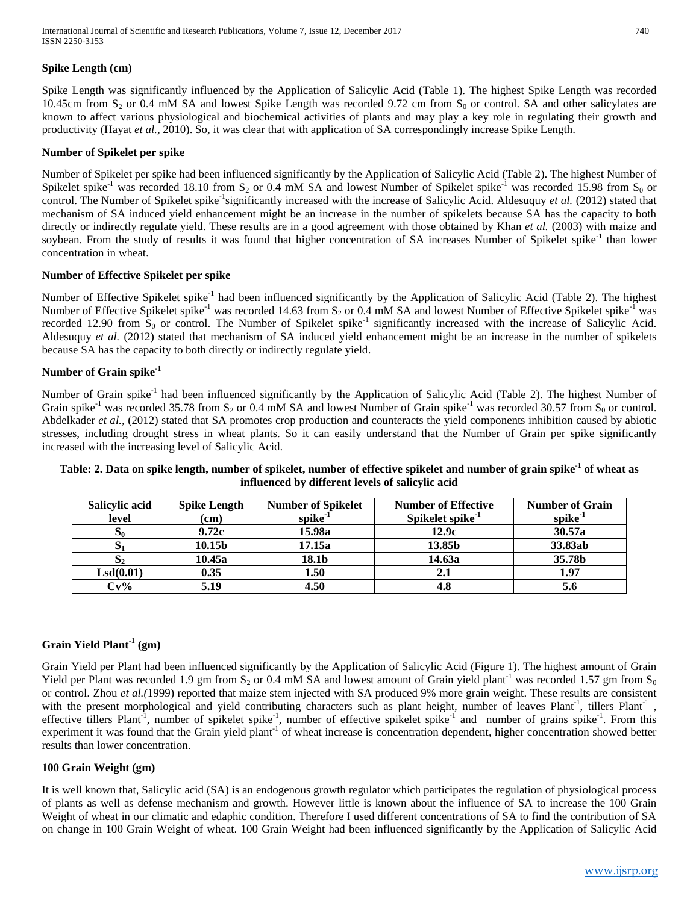## **Spike Length (cm)**

Spike Length was significantly influenced by the Application of Salicylic Acid (Table 1). The highest Spike Length was recorded 10.45cm from  $S_2$  or 0.4 mM SA and lowest Spike Length was recorded 9.72 cm from  $S_0$  or control. SA and other salicylates are known to affect various physiological and biochemical activities of plants and may play a key role in regulating their growth and productivity (Hayat *et al.*, 2010). So, it was clear that with application of SA correspondingly increase Spike Length.

#### **Number of Spikelet per spike**

Number of Spikelet per spike had been influenced significantly by the Application of Salicylic Acid (Table 2). The highest Number of Spikelet spike<sup>-1</sup> was recorded 18.10 from S<sub>2</sub> or 0.4 mM SA and lowest Number of Spikelet spike<sup>-1</sup> was recorded 15.98 from S<sub>0</sub> or control. The Number of Spikelet spike<sup>-1</sup>significantly increased with the increase of Salicylic Acid. Aldesuquy *et al.* (2012) stated that mechanism of SA induced yield enhancement might be an increase in the number of spikelets because SA has the capacity to both directly or indirectly regulate yield. These results are in a good agreement with those obtained by Khan *et al.* (2003) with maize and soybean. From the study of results it was found that higher concentration of SA increases Number of Spikelet spike<sup>-1</sup> than lower concentration in wheat.

## **Number of Effective Spikelet per spike**

Number of Effective Spikelet spike<sup>-1</sup> had been influenced significantly by the Application of Salicylic Acid (Table 2). The highest Number of Effective Spikelet spike<sup>-1</sup> was recorded 14.63 from S<sub>2</sub> or 0.4 mM SA and lowest Number of Effective Spikelet spike<sup>-1</sup> was recorded 12.90 from  $S_0$  or control. The Number of Spikelet spike<sup>-1</sup> significantly increased with the increase of Salicylic Acid. Aldesuquy *et al.* (2012) stated that mechanism of SA induced yield enhancement might be an increase in the number of spikelets because SA has the capacity to both directly or indirectly regulate yield.

## **Number of Grain spike-1**

Number of Grain spike<sup>-1</sup> had been influenced significantly by the Application of Salicylic Acid (Table 2). The highest Number of Grain spike<sup>-1</sup> was recorded 35.78 from S<sub>2</sub> or 0.4 mM SA and lowest Number of Grain spike<sup>-1</sup> was recorded 30.57 from S<sub>0</sub> or control. Abdelkader et al., (2012) stated that SA promotes crop production and counteracts the yield components inhibition caused by abiotic stresses, including drought stress in wheat plants. So it can easily understand that the Number of Grain per spike significantly increased with the increasing level of Salicylic Acid.

| Salicylic acid | <b>Spike Length</b> | <b>Number of Spikelet</b> | <b>Number of Effective</b>   | <b>Number of Grain</b> |
|----------------|---------------------|---------------------------|------------------------------|------------------------|
| level          | (cm)                | $spike-1$                 | Spikelet spike <sup>-1</sup> | spike $1$              |
| $S_0$          | 9.72c               | 15.98a                    | 12.9c                        | 30.57a                 |
| $S_1$          | 10.15b              | 17.15a                    | 13.85b                       | 33.83ab                |
| S <sub>2</sub> | 10.45a              | 18.1b                     | 14.63a                       | 35.78b                 |
| LSd(0.01)      | 0.35                | 1.50                      | 2.1                          | 1.97                   |
| $Cv\%$         | 5.19                | 4.50                      | 4.8                          |                        |

# **Table: 2. Data on spike length, number of spikelet, number of effective spikelet and number of grain spike-1 of wheat as influenced by different levels of salicylic acid**

## **Grain Yield Plant-1 (gm)**

Grain Yield per Plant had been influenced significantly by the Application of Salicylic Acid (Figure 1). The highest amount of Grain Yield per Plant was recorded 1.9 gm from  $S_2$  or 0.4 mM SA and lowest amount of Grain yield plant<sup>-1</sup> was recorded 1.57 gm from  $S_0$ or control. Zhou *et al.(*1999) reported that maize stem injected with SA produced 9% more grain weight. These results are consistent with the present morphological and yield contributing characters such as plant height, number of leaves Plant<sup>-1</sup>, tillers Plant<sup>-1</sup>, effective tillers Plant<sup>-1</sup>, number of spikelet spike<sup>-1</sup>, number of effective spikelet spike<sup>-1</sup> and number of grains spike<sup>-1</sup>. From this experiment it was found that the Grain yield plant<sup>-1</sup> of wheat increase is concentration dependent, higher concentration showed better results than lower concentration.

#### **100 Grain Weight (gm)**

It is well known that, Salicylic acid (SA) is an endogenous growth regulator which participates the regulation of physiological process of plants as well as defense mechanism and growth. However little is known about the influence of SA to increase the 100 Grain Weight of wheat in our climatic and edaphic condition. Therefore I used different concentrations of SA to find the contribution of SA on change in 100 Grain Weight of wheat. 100 Grain Weight had been influenced significantly by the Application of Salicylic Acid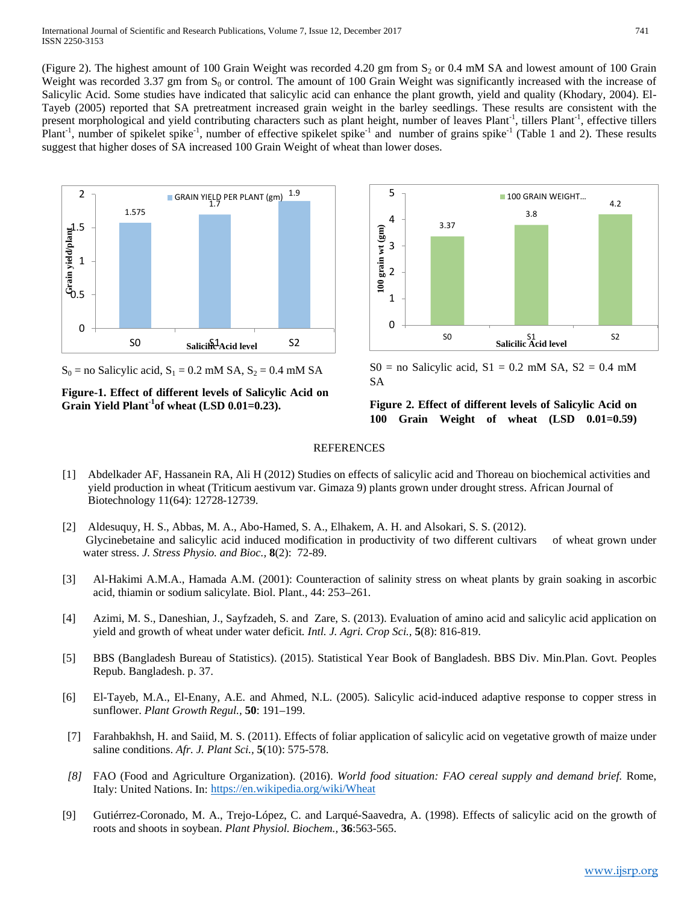(Figure 2). The highest amount of 100 Grain Weight was recorded 4.20 gm from  $S_2$  or 0.4 mM SA and lowest amount of 100 Grain Weight was recorded 3.37 gm from  $S_0$  or control. The amount of 100 Grain Weight was significantly increased with the increase of Salicylic Acid. Some studies have indicated that salicylic acid can enhance the plant growth, yield and quality (Khodary, 2004). El-Tayeb (2005) reported that SA pretreatment increased grain weight in the barley seedlings. These results are consistent with the present morphological and yield contributing characters such as plant height, number of leaves Plant<sup>-1</sup>, tillers Plant<sup>-1</sup>, effective tillers Plant<sup>-1</sup>, number of spikelet spike<sup>-1</sup>, number of effective spikelet spike<sup>-1</sup> and number of grains spike<sup>-1</sup> (Table 1 and 2). These results suggest that higher doses of SA increased 100 Grain Weight of wheat than lower doses.



 $S_0$  = no Salicylic acid,  $S_1$  = 0.2 mM SA,  $S_2$  = 0.4 mM SA

**Figure-1. Effect of different levels of Salicylic Acid on Grain Yield Plant-1 of wheat (LSD 0.01=0.23).**



 $S0 =$  no Salicylic acid,  $S1 = 0.2$  mM SA,  $S2 = 0.4$  mM SA

## **Figure 2. Effect of different levels of Salicylic Acid on 100 Grain Weight of wheat (LSD 0.01=0.59)**

#### **REFERENCES**

- [1] Abdelkader AF, Hassanein RA, Ali H (2012) Studies on effects of salicylic acid and Thoreau on biochemical activities and yield production in wheat (Triticum aestivum var. Gimaza 9) plants grown under drought stress. African Journal of Biotechnology 11(64): 12728-12739.
- [2] Aldesuquy, H. S., Abbas, M. A., Abo-Hamed, S. A., Elhakem, A. H. and Alsokari, S. S. (2012). Glycinebetaine and salicylic acid induced modification in productivity of two different cultivars of wheat grown under water stress. *J. Stress Physio. and Bioc.,* **8**(2): 72-89.
- [3] Al-Hakimi A.M.A., Hamada A.M. (2001): Counteraction of salinity stress on wheat plants by grain soaking in ascorbic acid, thiamin or sodium salicylate. Biol. Plant., 44: 253–261.
- [4] Azimi, M. S., Daneshian, J., Sayfzadeh, S. and Zare, S. (2013). Evaluation of amino acid and salicylic acid application on yield and growth of wheat under water deficit*. Intl. J. Agri. Crop Sci.,* **5**(8): 816-819.
- [5] BBS (Bangladesh Bureau of Statistics). (2015). Statistical Year Book of Bangladesh. BBS Div. Min.Plan. Govt. Peoples Repub. Bangladesh. p. 37.
- [6] El-Tayeb, M.A., El-Enany, A.E. and Ahmed, N.L. (2005). Salicylic acid-induced adaptive response to copper stress in sunflower. *Plant Growth Regul.,* **50**: 191–199.
- [7] Farahbakhsh, H. and Saiid, M. S. (2011). Effects of foliar application of salicylic acid on vegetative growth of maize under saline conditions. *Afr. J. Plant Sci.,* **5**(10): 575-578.
- *[8]* FAO (Food and Agriculture Organization). (2016). *World food situation: FAO cereal supply and demand brief.* Rome, Italy: United Nations. In[: https://en.wikipedia.org/wiki/Wheat](https://en.wikipedia.org/wiki/Wheat)
- [9] Gutiérrez-Coronado, M. A., Trejo-López, C. and Larqué-Saavedra, A. (1998). Effects of salicylic acid on the growth of roots and shoots in soybean. *Plant Physiol. Biochem.,* **36**:563-565.